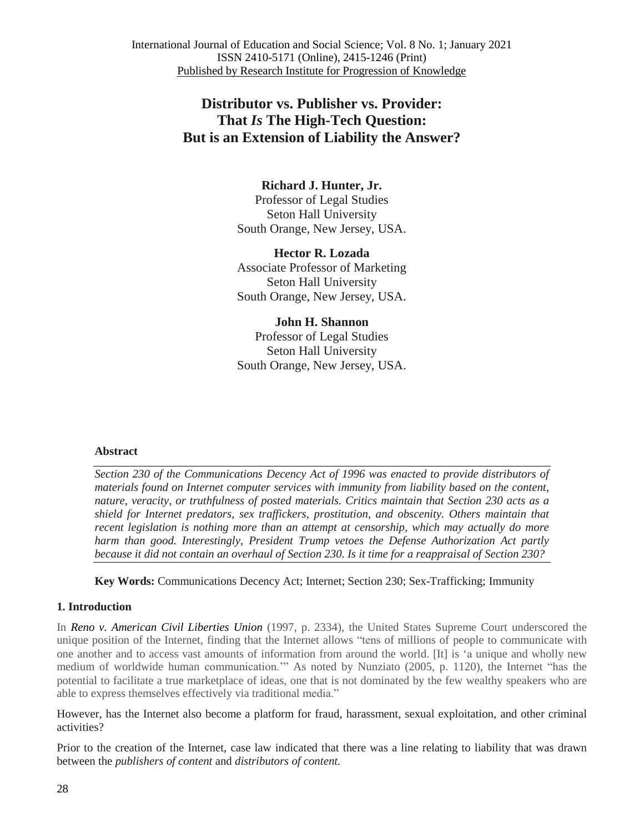## **Distributor vs. Publisher vs. Provider: That** *Is* **The High-Tech Question: But is an Extension of Liability the Answer?**

### **Richard J. Hunter, Jr.**

Professor of Legal Studies Seton Hall University South Orange, New Jersey, USA.

**Hector R. Lozada** Associate Professor of Marketing Seton Hall University South Orange, New Jersey, USA.

**John H. Shannon** Professor of Legal Studies Seton Hall University South Orange, New Jersey, USA.

#### **Abstract**

*Section 230 of the Communications Decency Act of 1996 was enacted to provide distributors of materials found on Internet computer services with immunity from liability based on the content, nature, veracity, or truthfulness of posted materials. Critics maintain that Section 230 acts as a shield for Internet predators, sex traffickers, prostitution, and obscenity. Others maintain that recent legislation is nothing more than an attempt at censorship, which may actually do more harm than good. Interestingly, President Trump vetoes the Defense Authorization Act partly* because it did not contain an overhaul of Section 230. Is it time for a reappraisal of Section 230?

**Key Words:** Communications Decency Act; Internet; Section 230; Sex-Trafficking; Immunity

#### **1. Introduction**

In *Reno v. American Civil Liberties Union* (1997, p. 2334), the United States Supreme Court underscored the unique position of the Internet, finding that the Internet allows "tens of millions of people to communicate with one another and to access vast amounts of information from around the world. [It] is ‗a unique and wholly new medium of worldwide human communication." As noted by Nunziato (2005, p. 1120), the Internet "has the potential to facilitate a true marketplace of ideas, one that is not dominated by the few wealthy speakers who are able to express themselves effectively via traditional media."

However, has the Internet also become a platform for fraud, harassment, sexual exploitation, and other criminal activities?

Prior to the creation of the Internet, case law indicated that there was a line relating to liability that was drawn between the *publishers of content* and *distributors of content.*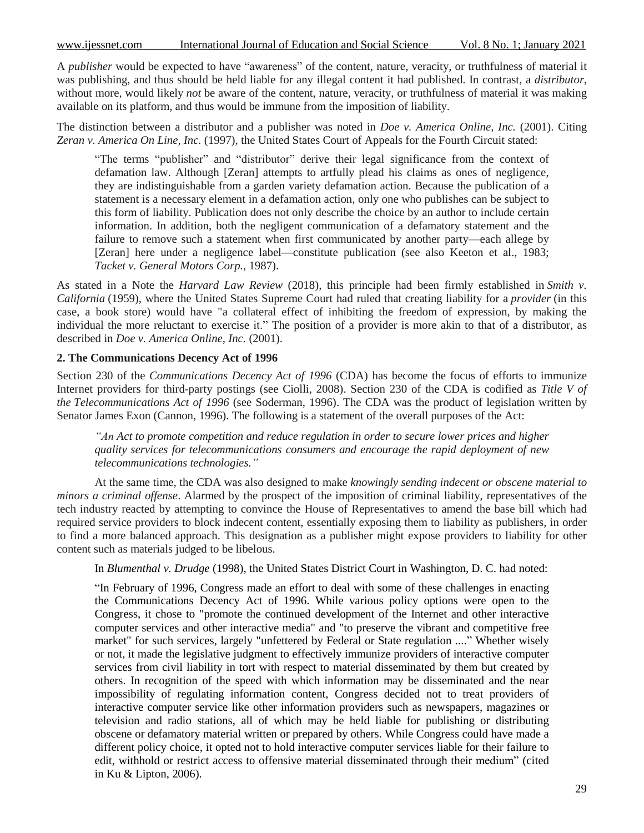www.ijessnet.com International Journal of Education and Social Science Vol. 8 No. 1; January 2021

A *publisher* would be expected to have "awareness" of the content, nature, veracity, or truthfulness of material it was publishing, and thus should be held liable for any illegal content it had published. In contrast, a *distributor*, without more, would likely *not* be aware of the content, nature, veracity, or truthfulness of material it was making available on its platform, and thus would be immune from the imposition of liability.

The distinction between a distributor and a publisher was noted in *Doe v. America Online, Inc.* (2001). Citing *Zeran v. America On Line, Inc.* (1997), the United States Court of Appeals for the Fourth Circuit stated:

"The terms "publisher" and "distributor" derive their legal significance from the context of defamation law. Although [Zeran] attempts to artfully plead his claims as ones of negligence, they are indistinguishable from a garden variety defamation action. Because the publication of a statement is a necessary element in a defamation action, only one who publishes can be subject to this form of liability. Publication does not only describe the choice by an author to include certain information. In addition, both the negligent communication of a defamatory statement and the failure to remove such a statement when first communicated by another party—each allege by [Zeran] here under a negligence label—constitute publication (see also Keeton et al., 1983; *Tacket v. General Motors Corp.*, 1987).

As stated in a Note the *Harvard Law Review* (2018), this principle had been firmly established in *Smith v. California* (1959), where the United States Supreme Court had ruled that creating liability for a *provider* (in this case, a book store) would have "a collateral effect of inhibiting the freedom of expression, by making the individual the more reluctant to exercise it." The position of a provider is more akin to that of a distributor, as described in *Doe v. America Online, Inc.* (2001).

#### **2. The Communications Decency Act of 1996**

Section 230 of the *Communications Decency Act of 1996* (CDA) has become the focus of efforts to immunize Internet providers for third-party postings (see Ciolli, 2008). Section 230 of the CDA is codified as *Title V of the Telecommunications Act of 1996* (see Soderman, 1996). The CDA was the product of legislation written by Senator James Exon (Cannon, 1996). The following is a statement of the overall purposes of the Act:

*"An Act to promote competition and reduce regulation in order to secure lower prices and higher quality services for telecommunications consumers and encourage the rapid deployment of new telecommunications technologies."*

At the same time, the CDA was also designed to make *knowingly sending indecent or obscene material to minors a criminal offense*. Alarmed by the prospect of the imposition of criminal liability, representatives of the tech industry reacted by attempting to convince the House of Representatives to amend the base bill which had required service providers to block indecent content, essentially exposing them to liability as publishers, in order to find a more balanced approach. This designation as a publisher might expose providers to liability for other content such as materials judged to be libelous.

In *Blumenthal v. Drudge* (1998), the United States District Court in Washington, D. C. had noted:

―In February of 1996, Congress made an effort to deal with some of these challenges in enacting the Communications Decency Act of 1996. While various policy options were open to the Congress, it chose to "promote the continued development of the Internet and other interactive computer services and other interactive media" and "to preserve the vibrant and competitive free market" for such services, largely "unfettered by Federal or State regulation ...." Whether wisely or not, it made the legislative judgment to effectively immunize providers of interactive computer services from civil liability in tort with respect to material disseminated by them but created by others. In recognition of the speed with which information may be disseminated and the near impossibility of regulating information content, Congress decided not to treat providers of interactive computer service like other information providers such as newspapers, magazines or television and radio stations, all of which may be held liable for publishing or distributing obscene or defamatory material written or prepared by others. While Congress could have made a different policy choice, it opted not to hold interactive computer services liable for their failure to edit, withhold or restrict access to offensive material disseminated through their medium" (cited in Ku & Lipton, 2006).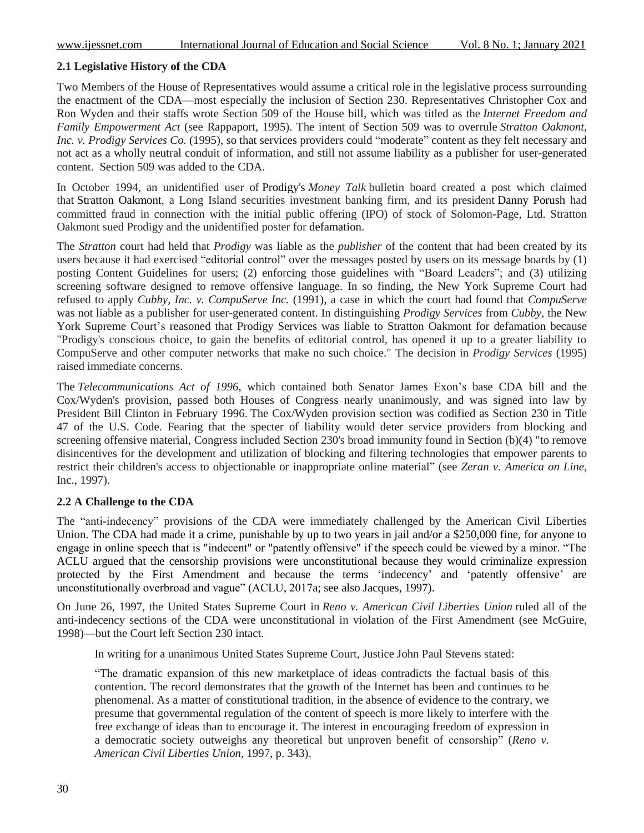### **2.1 Legislative History of the CDA**

Two Members of the House of Representatives would assume a critical role in the legislative process surrounding the enactment of the CDA—most especially the inclusion of Section 230. Representatives Christopher Cox and Ron Wyden and their staffs wrote Section 509 of the House bill, which was titled as the *Internet Freedom and Family Empowerment Act* (see Rappaport, 1995). The intent of Section 509 was to overrule *Stratton Oakmont, Inc. v. Prodigy Services Co.* (1995), so that services providers could "moderate" content as they felt necessary and not act as a wholly neutral conduit of information, and still not assume liability as a publisher for user-generated content. Section 509 was added to the CDA.

In October 1994, an unidentified user of [Prodigy's](https://wikivisually.com/wiki/Prodigy_(online_service)) *Money Talk* bulletin board created a post which claimed that [Stratton Oakmont,](https://wikivisually.com/wiki/Stratton_Oakmont) a Long Island securities investment banking firm, and its president [Danny Porush](https://wikivisually.com/wiki/Danny_Porush) had committed fraud in connection with the initial public offering (IPO) of stock of Solomon-Page, Ltd. Stratton Oakmont sued Prodigy and the unidentified poster for [defamation.](https://wikivisually.com/wiki/United_States_defamation_law)

The *Stratton* court had held that *Prodigy* was liable as the *publisher* of the content that had been created by its users because it had exercised "editorial control" over the messages posted by users on its message boards by (1) posting Content Guidelines for users; (2) enforcing those guidelines with "Board Leaders"; and (3) utilizing screening software designed to remove offensive language. In so finding, the New York Supreme Court had refused to apply *Cubby, Inc. v. CompuServe Inc.* (1991), a case in which the court had found that *CompuServe* was not liable as a publisher for user-generated content. In distinguishing *Prodigy Services* from *Cubby*, the New York Supreme Court's reasoned that Prodigy Services was liable to Stratton Oakmont for defamation because "Prodigy's conscious choice, to gain the benefits of editorial control, has opened it up to a greater liability to CompuServe and other computer networks that make no such choice." The decision in *Prodigy Services* (1995) raised immediate concerns. Ï

The *Telecommunications Act of 1996*, which contained both Senator James Exon's base CDA bill and the Cox/Wyden's provision, passed both Houses of Congress nearly unanimously, and was signed into law by President Bill Clinton in February 1996. The Cox/Wyden provision section was codified as Section 230 in Title 47 of the U.S. Code. Fearing that the specter of liability would deter service providers from blocking and screening offensive material, Congress included Section 230's broad immunity found in Section (b)(4) "to remove disincentives for the development and utilization of blocking and filtering technologies that empower parents to restrict their children's access to objectionable or inappropriate online material‖ (see *Zeran v. America on Line*, Inc., 1997).

#### **2.2 A Challenge to the CDA**

The "anti-indecency" provisions of the CDA were immediately challenged by the American Civil Liberties Union. The CDA had made it a crime, punishable by up to two years in jail and/or a \$250,000 fine, for anyone to engage in online speech that is "indecent" or "patently offensive" if the speech could be viewed by a minor. "The ACLU argued that the censorship provisions were unconstitutional because they would criminalize expression protected by the First Amendment and because the terms 'indecency' and 'patently offensive' are unconstitutionally overbroad and vague" (ACLU, 2017a; see also Jacques, 1997).

On June 26, 1997, the United States Supreme Court in *Reno v. American Civil Liberties Union* ruled all of the anti-indecency sections of the CDA were unconstitutional in violation of the First Amendment (see McGuire, 1998)—but the Court left Section 230 intact.

In writing for a unanimous United States Supreme Court, Justice John Paul Stevens stated:

―The dramatic expansion of this new marketplace of ideas contradicts the factual basis of this contention. The record demonstrates that the growth of the Internet has been and continues to be phenomenal. As a matter of constitutional tradition, in the absence of evidence to the contrary, we presume that governmental regulation of the content of speech is more likely to interfere with the free exchange of ideas than to encourage it. The interest in encouraging freedom of expression in a democratic society outweighs any theoretical but unproven benefit of censorship" (*Reno v*. *American Civil Liberties Union*, 1997, p. 343).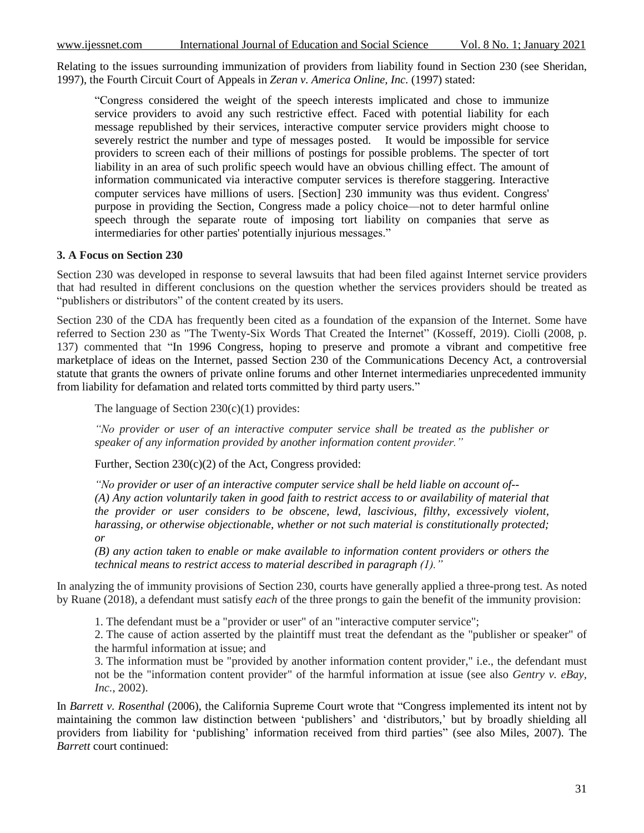Relating to the issues surrounding immunization of providers from liability found in Section 230 (see Sheridan, 1997), the Fourth Circuit Court of Appeals in *Zeran v. America Online, Inc.* (1997) stated:

―Congress considered the weight of the speech interests implicated and chose to immunize service providers to avoid any such restrictive effect. Faced with potential liability for each message republished by their services, interactive computer service providers might choose to severely restrict the number and type of messages posted. It would be impossible for service providers to screen each of their millions of postings for possible problems. The specter of tort liability in an area of such prolific speech would have an obvious chilling effect. The amount of information communicated via interactive computer services is therefore staggering. Interactive computer services have millions of users. [Section] 230 immunity was thus evident. Congress' purpose in providing the Section, Congress made a policy choice—not to deter harmful online speech through the separate route of imposing tort liability on companies that serve as intermediaries for other parties' potentially injurious messages."

# **3. A Focus on Section 230**

Section 230 was developed in response to several lawsuits that had been filed against Internet service providers that had resulted in different conclusions on the question whether the services providers should be treated as "publishers or distributors" of the content created by its users.

Section 230 of the CDA has frequently been cited as a foundation of the expansion of the Internet. Some have referred to Section 230 as "The Twenty-Six Words That Created the Internet" (Kosseff, 2019). Ciolli (2008, p. 137) commented that "In 1996 Congress, hoping to preserve and promote a vibrant and competitive free marketplace of ideas on the Internet, passed Section 230 of the Communications Decency Act, a controversial statute that grants the owners of private online forums and other Internet intermediaries unprecedented immunity from liability for defamation and related torts committed by third party users."

The language of Section 230(c)(1) provides:

*"No provider or user of an interactive computer service shall be treated as the publisher or speaker of any information provided by another information content provider."*

Further, Section  $230(c)(2)$  of the Act, Congress provided:

*"No provider or user of an interactive computer service shall be held liable on account of-- (A) Any action voluntarily taken in good faith to restrict access to or availability of material that the provider or user considers to be obscene, lewd, lascivious, filthy, excessively violent, harassing, or otherwise objectionable, whether or not such material is constitutionally protected; or*

*(B) any action taken to enable or make available to information content providers or others the technical means to restrict access to material described in paragraph (1)."*

In analyzing the of immunity provisions of Section 230, courts have generally applied a three-prong test. As noted by Ruane (2018), a defendant must satisfy *each* of the three prongs to gain the benefit of the immunity provision:

1. The defendant must be a "provider or user" of an "interactive computer service";

2. The cause of action asserted by the plaintiff must treat the defendant as the "publisher or speaker" of the harmful information at issue; and

3. The information must be "provided by another information content provider," i.e., the defendant must not be the "information content provider" of the harmful information at issue (see also *Gentry v. eBay, Inc.*, 2002).

In *Barrett v. Rosenthal* (2006), the California Supreme Court wrote that "Congress implemented its intent not by maintaining the common law distinction between 'publishers' and 'distributors,' but by broadly shielding all providers from liability for 'publishing' information received from third parties" (see also Miles, 2007). The *Barrett* court continued: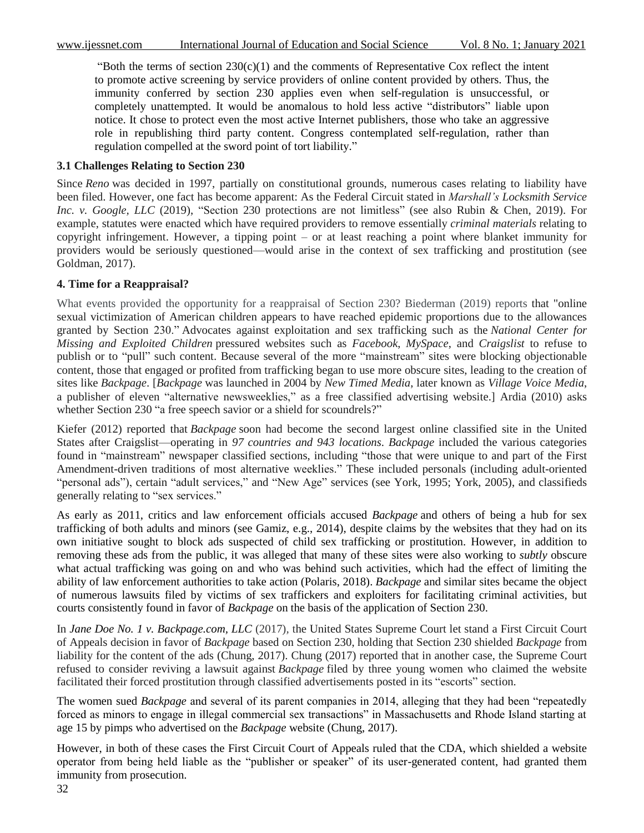"Both the terms of section  $230(c)(1)$  and the comments of Representative Cox reflect the intent to promote active screening by service providers of online content provided by others. Thus, the immunity conferred by section 230 applies even when self-regulation is unsuccessful, or completely unattempted. It would be anomalous to hold less active "distributors" liable upon notice. It chose to protect even the most active Internet publishers, those who take an aggressive role in republishing third party content. Congress contemplated self-regulation, rather than regulation compelled at the sword point of tort liability."

#### **3.1 Challenges Relating to Section 230**

Since *Reno* was decided in 1997, partially on constitutional grounds, numerous cases relating to liability have been filed. However, one fact has become apparent: As the Federal Circuit stated in *Marshall's Locksmith Service Inc. v. Google, LLC* (2019), "Section 230 protections are not limitless" (see also Rubin & Chen, 2019). For example, statutes were enacted which have required providers to remove essentially *criminal materials* relating to copyright infringement. However, a tipping point – or at least reaching a point where blanket immunity for providers would be seriously questioned—would arise in the context of sex trafficking and prostitution (see Goldman, 2017).

#### **4. Time for a Reappraisal?**

What events provided the opportunity for a reappraisal of Section 230? Biederman (2019) reports that "online sexual victimization of American children appears to have reached epidemic proportions due to the allowances granted by Section 230.‖ Advocates against exploitation and sex trafficking such as the *National Center for Missing and Exploited Children* pressured websites such as *Facebook*, *MySpace*, and *Craigslist* to refuse to publish or to "pull" such content. Because several of the more "mainstream" sites were blocking objectionable content, those that engaged or profited from trafficking began to use more obscure sites, leading to the creation of sites like *Backpage*. [*Backpage* was launched in 2004 by *New Timed Media*, later known as *Village Voice Media*, a publisher of eleven "alternative newsweeklies," as a free classified advertising website.] Ardia (2010) asks whether Section 230 "a free speech savior or a shield for scoundrels?"

Kiefer (2012) reported that *Backpage* soon had become the second largest online classified site in the United States after Craigslist—operating in *97 countries and 943 locations*. *Backpage* included the various categories found in "mainstream" newspaper classified sections, including "those that were unique to and part of the First Amendment-driven traditions of most alternative weeklies." These included personals (including adult-oriented "personal ads"), certain "adult services," and "New Age" services (see York, 1995; York, 2005), and classifieds generally relating to "sex services."

As early as 2011, critics and law enforcement officials accused *Backpage* and others of being a hub for sex trafficking of both adults and minors (see Gamiz, e.g., 2014), despite claims by the websites that they had on its own initiative sought to block ads suspected of child sex trafficking or prostitution. However, in addition to removing these ads from the public, it was alleged that many of these sites were also working to *subtly* obscure what actual trafficking was going on and who was behind such activities, which had the effect of limiting the ability of law enforcement authorities to take action (Polaris, 2018). *Backpage* and similar sites became the object of numerous lawsuits filed by victims of sex traffickers and exploiters for facilitating criminal activities, but courts consistently found in favor of *Backpage* on the basis of the application of Section 230.

In *Jane Doe No. 1 v. Backpage.com, LLC* (2017)*,* the United States Supreme Court let stand a First Circuit Court of Appeals decision in favor of *Backpage* based on Section 230, holding that Section 230 shielded *Backpage* from liability for the content of the ads (Chung, 2017). Chung (2017) reported that in another case, the Supreme Court refused to consider reviving a lawsuit against *Backpage* filed by three young women who claimed the website facilitated their forced prostitution through classified advertisements posted in its "escorts" section.

The women sued *Backpage* and several of its parent companies in 2014, alleging that they had been "repeatedly forced as minors to engage in illegal commercial sex transactions" in Massachusetts and Rhode Island starting at age 15 by pimps who advertised on the *Backpage* website (Chung, 2017).

However, in both of these cases the First Circuit Court of Appeals ruled that the CDA, which shielded a website operator from being held liable as the "publisher or speaker" of its user-generated content, had granted them immunity from prosecution.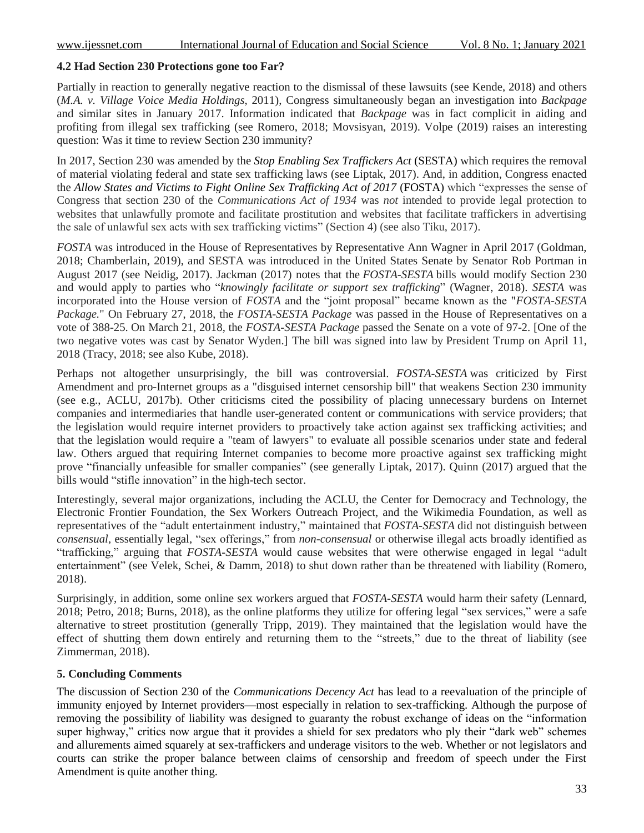#### **4.2 Had Section 230 Protections gone too Far?**

Partially in reaction to generally negative reaction to the dismissal of these lawsuits (see Kende, 2018) and others (*M.A. v. Village Voice Media Holdings*, 2011), Congress simultaneously began an investigation into *Backpage* and similar sites in January 2017. Information indicated that *Backpage* was in fact complicit in aiding and profiting from illegal sex trafficking (see Romero, 2018; Movsisyan, 2019). Volpe (2019) raises an interesting question: Was it time to review Section 230 immunity?

In 2017, Section 230 was amended by the *Stop Enabling Sex Traffickers Act* (SESTA) which requires the removal of material violating federal and state sex trafficking laws (see Liptak, 2017). And, in addition, Congress enacted the *Allow States and Victims to Fight Online Sex Trafficking Act of 2017* (FOSTA) which "expresses the sense of Congress that section 230 of the *Communications Act of 1934* was *not* intended to provide legal protection to websites that unlawfully promote and facilitate prostitution and websites that facilitate traffickers in advertising the sale of unlawful sex acts with sex trafficking victims" (Section 4) (see also Tiku,  $2017$ ).

*FOSTA* was introduced in the House of Representatives by Representative Ann Wagner in April 2017 (Goldman, 2018; Chamberlain, 2019), and SESTA was introduced in the United States Senate by Senator Rob Portman in August 2017 (see Neidig, 2017). Jackman (2017) notes that the *FOSTA-SESTA* bills would modify Section 230 and would apply to parties who "*knowingly facilitate or support sex trafficking*" (Wagner, 2018). *SESTA* was incorporated into the House version of *FOSTA* and the "joint proposal" became known as the "*FOSTA-SESTA Package.*" On February 27, 2018, the *FOSTA-SESTA Package* was passed in the House of Representatives on a vote of 388-25. On March 21, 2018, the *FOSTA-SESTA Package* passed the Senate on a vote of 97-2. [One of the two negative votes was cast by Senator Wyden.] The bill was signed into law by President Trump on April 11, 2018 (Tracy, 2018; see also Kube, 2018).

Perhaps not altogether unsurprisingly, the bill was controversial. *FOSTA-SESTA* was criticized by First Amendment and pro-Internet groups as a "disguised internet censorship bill" that weakens Section 230 immunity (see e.g., ACLU, 2017b). Other criticisms cited the possibility of placing unnecessary burdens on Internet companies and intermediaries that handle user-generated content or communications with service providers; that the legislation would require internet providers to proactively take action against sex trafficking activities; and that the legislation would require a "team of lawyers" to evaluate all possible scenarios under state and federal law. Others argued that requiring Internet companies to become more proactive against sex trafficking might prove "financially unfeasible for smaller companies" (see generally Liptak, 2017). Quinn (2017) argued that the bills would "stifle innovation" in the high-tech sector.

Interestingly, several major organizations, including the ACLU, the Center for Democracy and Technology, the Electronic Frontier Foundation, the Sex Workers Outreach Project, and the Wikimedia Foundation, as well as representatives of the "adult entertainment industry," maintained that *FOSTA-SESTA* did not distinguish between *consensual*, essentially legal, "sex offerings," from *non-consensual* or otherwise illegal acts broadly identified as "trafficking," arguing that *FOSTA-SESTA* would cause websites that were otherwise engaged in legal "adult" entertainment" (see Velek, Schei, & Damm, 2018) to shut down rather than be threatened with liability (Romero, 2018).

Surprisingly, in addition, some online sex workers argued that *FOSTA-SESTA* would harm their safety (Lennard, 2018; Petro, 2018; Burns, 2018), as the online platforms they utilize for offering legal "sex services," were a safe alternative to street prostitution (generally Tripp, 2019). They maintained that the legislation would have the effect of shutting them down entirely and returning them to the "streets," due to the threat of liability (see Zimmerman, 2018).

#### **5. Concluding Comments**

The discussion of Section 230 of the *Communications Decency Act* has lead to a reevaluation of the principle of immunity enjoyed by Internet providers—most especially in relation to sex-trafficking. Although the purpose of removing the possibility of liability was designed to guaranty the robust exchange of ideas on the "information super highway," critics now argue that it provides a shield for sex predators who ply their "dark web" schemes and allurements aimed squarely at sex-traffickers and underage visitors to the web. Whether or not legislators and courts can strike the proper balance between claims of censorship and freedom of speech under the First Amendment is quite another thing.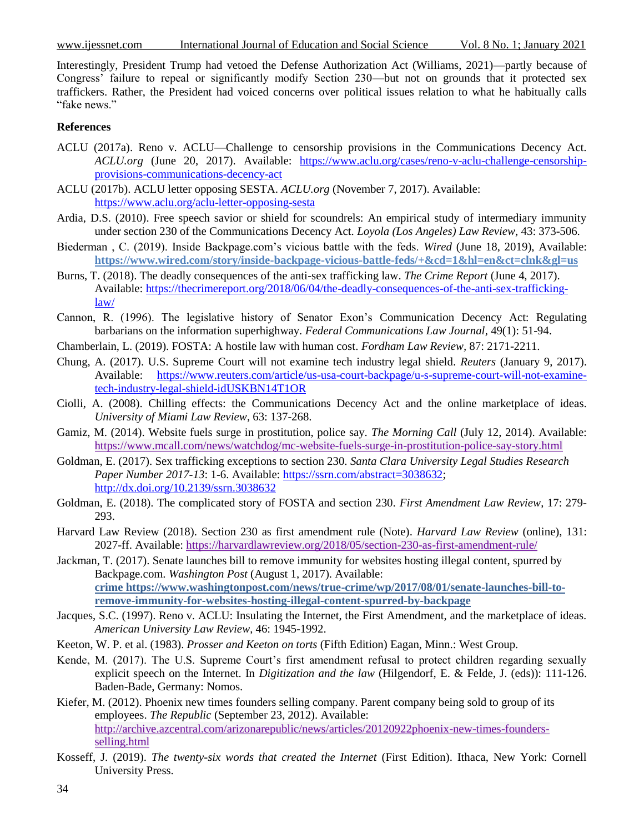www.ijessnet.com International Journal of Education and Social Science Vol. 8 No. 1; January 2021

Interestingly, President Trump had vetoed the Defense Authorization Act (Williams, 2021)—partly because of Congress' failure to repeal or significantly modify Section 230—but not on grounds that it protected sex traffickers. Rather, the President had voiced concerns over political issues relation to what he habitually calls "fake news."

#### **References**

- ACLU (2017a). Reno v. ACLU—Challenge to censorship provisions in the Communications Decency Act. *ACLU.org* (June 20, 2017). Available: [https://www.aclu.org/cases/reno-v-aclu-challenge-censorship](https://www.aclu.org/cases/reno-v-aclu-challenge-censorship-provisions-communications-decency-act)[provisions-communications-decency-act](https://www.aclu.org/cases/reno-v-aclu-challenge-censorship-provisions-communications-decency-act)
- ACLU (2017b). ACLU letter opposing SESTA. *ACLU.org* (November 7, 2017). Available: <https://www.aclu.org/aclu-letter-opposing-sesta>
- Ardia, D.S. (2010). Free speech savior or shield for scoundrels: An empirical study of intermediary immunity under section 230 of the Communications Decency Act. *Loyola (Los Angeles) Law Review*, 43: 373-506.
- Biederman , C. (2019). Inside Backpage.com's vicious battle with the feds. *Wired* (June 18, 2019), Available: **https://www.wired.com/story/inside-backpage-vicious-battle-feds/+&cd=1&hl=en&ct=clnk&gl=us**
- Burns, T. (2018). The deadly consequences of the anti-sex trafficking law. *The Crime Report* (June 4, 2017). Available: [https://thecrimereport.org/2018/06/04/the-deadly-consequences-of-the-anti-sex-trafficking](https://thecrimereport.org/2018/06/04/the-deadly-consequences-of-the-anti-sex-trafficking-law/)[law/](https://thecrimereport.org/2018/06/04/the-deadly-consequences-of-the-anti-sex-trafficking-law/)
- Cannon, R. (1996). The legislative history of Senator Exon's Communication Decency Act: Regulating barbarians on the information superhighway. *Federal Communications Law Journal*, 49(1): 51-94.
- Chamberlain, L. (2019). FOSTA: A hostile law with human cost. *Fordham Law Review,* 87: 2171-2211.
- Chung, A. (2017). U.S. Supreme Court will not examine tech industry legal shield. *Reuters* (January 9, 2017). Available: [https://www.reuters.com/article/us-usa-court-backpage/u-s-supreme-court-will-not-examine](https://www.reuters.com/article/us-usa-court-backpage/u-s-supreme-court-will-not-examine-tech-industry-legal-shield-idUSKBN14T1OR)[tech-industry-legal-shield-idUSKBN14T1OR](https://www.reuters.com/article/us-usa-court-backpage/u-s-supreme-court-will-not-examine-tech-industry-legal-shield-idUSKBN14T1OR)
- Ciolli, A. (2008). Chilling effects: the Communications Decency Act and the online marketplace of ideas. *University of Miami Law Review*, 63: 137-268.
- Gamiz, M. (2014). Website fuels surge in prostitution, police say. *The Morning Call* (July 12, 2014). Available: <https://www.mcall.com/news/watchdog/mc-website-fuels-surge-in-prostitution-police-say-story.html>
- Goldman, E. (2017). Sex trafficking exceptions to section 230. *Santa Clara University Legal Studies Research Paper Number 2017-13*: 1-6. Available: [https://ssrn.com/abstract=3038632;](https://ssrn.com/abstract=3038632) [http://dx.doi.org/10.2139/ssrn.3038632](https://dx.doi.org/10.2139/ssrn.3038632)
- Goldman, E. (2018). The complicated story of FOSTA and section 230. *First Amendment Law Review*, 17: 279- 293.
- Harvard Law Review (2018). Section 230 as first amendment rule (Note). *Harvard Law Review* (online), 131: 2027-ff. Available:<https://harvardlawreview.org/2018/05/section-230-as-first-amendment-rule/>
- Jackman, T. (2017). Senate launches bill to remove immunity for websites hosting illegal content, spurred by Backpage.com. *Washington Post* (August 1, 2017). Available: **crime https://www.washingtonpost.com/news/true-crime/wp/2017/08/01/senate-launches-bill-toremove-immunity-for-websites-hosting-illegal-content-spurred-by-backpage**
- Jacques, S.C. (1997). Reno v. ACLU: Insulating the Internet, the First Amendment, and the marketplace of ideas. *American University Law Review*, 46: 1945-1992.
- Keeton, W. P. et al. (1983). *Prosser and Keeton on torts* (Fifth Edition) Eagan, Minn.: West Group.
- Kende, M. (2017). The U.S. Supreme Court's first amendment refusal to protect children regarding sexually explicit speech on the Internet. In *Digitization and the law* (Hilgendorf, E. & Felde, J. (eds)): 111-126. Baden-Bade, Germany: Nomos.
- Kiefer, M. (2012). Phoenix new times founders selling company. Parent company being sold to group of its employees. *The Republic* (September 23, 2012). Available: [http://archive.azcentral.com/arizonarepublic/news/articles/20120922phoenix-new-times-founders](http://archive.azcentral.com/arizonarepublic/news/articles/20120922phoenix-new-times-founders-selling.html)[selling.html](http://archive.azcentral.com/arizonarepublic/news/articles/20120922phoenix-new-times-founders-selling.html)
- Kosseff, J. (2019). *The twenty-six words that created the Internet* (First Edition). Ithaca, New York: Cornell University Press.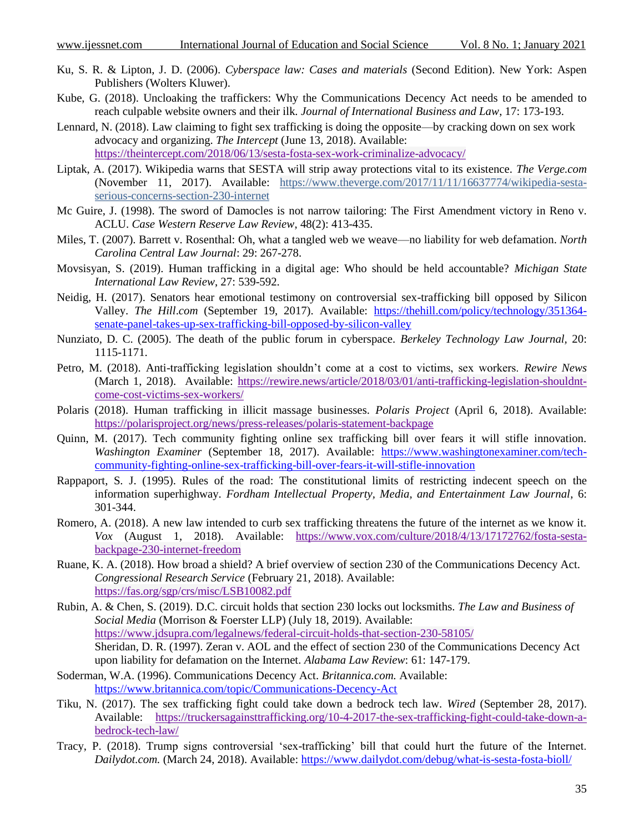- Ku, S. R. & Lipton, J. D. (2006). *Cyberspace law: Cases and materials* (Second Edition). New York: Aspen Publishers (Wolters Kluwer).
- Kube, G. (2018). Uncloaking the traffickers: Why the Communications Decency Act needs to be amended to reach culpable website owners and their ilk. *Journal of International Business and Law*, 17: 173-193.
- Lennard, N. (2018). Law claiming to fight sex trafficking is doing the opposite—by cracking down on sex work advocacy and organizing. *The Intercept* (June 13, 2018). Available: <https://theintercept.com/2018/06/13/sesta-fosta-sex-work-criminalize-advocacy/>
- Liptak, A. (2017). Wikipedia warns that SESTA will strip away protections vital to its existence. *The Verge.com*  (November 11, 2017). Available: [https://www.theverge.com/2017/11/11/16637774/wikipedia-sesta](https://www.theverge.com/2017/11/11/16637774/wikipedia-sesta-serious-concerns-section-230-internet?_ga=2.104368256.1029955868.1574346339-952560819.1574346339)[serious-concerns-section-230-internet](https://www.theverge.com/2017/11/11/16637774/wikipedia-sesta-serious-concerns-section-230-internet?_ga=2.104368256.1029955868.1574346339-952560819.1574346339)
- Mc Guire, J. (1998). The sword of Damocles is not narrow tailoring: The First Amendment victory in Reno v. ACLU. *Case Western Reserve Law Review*, 48(2): 413-435.
- Miles, T. (2007). Barrett v. Rosenthal: Oh, what a tangled web we weave—no liability for web defamation. *North Carolina Central Law Journal*: 29: 267-278.
- Movsisyan, S. (2019). Human trafficking in a digital age: Who should be held accountable? *Michigan State International Law Review*, 27: 539-592.
- Neidig, H. (2017). Senators hear emotional testimony on controversial sex-trafficking bill opposed by Silicon Valley. *The Hill*.*com* (September 19, 2017). Available: [https://thehill.com/policy/technology/351364](https://thehill.com/policy/technology/351364-senate-panel-takes-up-sex-trafficking-bill-opposed-by-silicon-valley) [senate-panel-takes-up-sex-trafficking-bill-opposed-by-silicon-valley](https://thehill.com/policy/technology/351364-senate-panel-takes-up-sex-trafficking-bill-opposed-by-silicon-valley)
- Nunziato, D. C. (2005). The death of the public forum in cyberspace. *Berkeley Technology Law Journal,* 20: 1115-1171.
- Petro, M. (2018). Anti-trafficking legislation shouldn't come at a cost to victims, sex workers. *Rewire News*  (March 1, 2018). Available: [https://rewire.news/article/2018/03/01/anti-trafficking-legislation-shouldnt](https://rewire.news/article/2018/03/01/anti-trafficking-legislation-shouldnt-come-cost-victims-sex-workers/?_ga=2.102036806.637385698.1574354873-1078498639.1574354873)[come-cost-victims-sex-workers/](https://rewire.news/article/2018/03/01/anti-trafficking-legislation-shouldnt-come-cost-victims-sex-workers/?_ga=2.102036806.637385698.1574354873-1078498639.1574354873)
- Polaris (2018). Human trafficking in illicit massage businesses. *Polaris Project* (April 6, 2018). Available: <https://polarisproject.org/news/press-releases/polaris-statement-backpage>
- Quinn, M. (2017). Tech community fighting online sex trafficking bill over fears it will stifle innovation. *Washington Examiner* (September 18, 2017). Available: [https://www.washingtonexaminer.com/tech](https://www.washingtonexaminer.com/tech-community-fighting-online-sex-trafficking-bill-over-fears-it-will-stifle-innovation)[community-fighting-online-sex-trafficking-bill-over-fears-it-will-stifle-innovation](https://www.washingtonexaminer.com/tech-community-fighting-online-sex-trafficking-bill-over-fears-it-will-stifle-innovation)
- Rappaport, S. J. (1995). Rules of the road: The constitutional limits of restricting indecent speech on the information superhighway. *Fordham Intellectual Property, Media, and Entertainment Law Journal*, 6: 301-344.
- Romero, A. (2018). A new law intended to curb sex trafficking threatens the future of the internet as we know it. *Vox* (August 1, 2018). Available: [https://www.vox.com/culture/2018/4/13/17172762/fosta-sesta](https://www.vox.com/culture/2018/4/13/17172762/fosta-sesta-backpage-230-internet-freedom)[backpage-230-internet-freedom](https://www.vox.com/culture/2018/4/13/17172762/fosta-sesta-backpage-230-internet-freedom)
- Ruane, K. A. (2018). How broad a shield? A brief overview of section 230 of the Communications Decency Act. *Congressional Research Service* (February 21, 2018). Available: <https://fas.org/sgp/crs/misc/LSB10082.pdf>
- Rubin, A. & Chen, S. (2019). D.C. circuit holds that section 230 locks out locksmiths. *The Law and Business of Social Media* (Morrison & Foerster LLP) (July 18, 2019). Available: [https://www.jdsupra.com/legalnews/federal-circuit-holds-that-section-230-58105/](https://www.jdsupra.com/legalnews/federal-circuit-holds-that-section-230-58105/?__hstc=43953530.7d291cbecb1a69e2ca25b6e62d0684d0.1574345016038.1574345016038.1574345016038.1&__hssc=43953530.2.1574345016039&__hsfp=969430428) Sheridan, D. R. (1997). Zeran v. AOL and the effect of section 230 of the Communications Decency Act upon liability for defamation on the Internet. *Alabama Law Review*: 61: 147-179.
- Soderman, W.A. (1996). Communications Decency Act. *Britannica.com.* Available: <https://www.britannica.com/topic/Communications-Decency-Act>
- Tiku, N. (2017). The sex trafficking fight could take down a bedrock tech law. *Wired* (September 28, 2017). Available: [https://truckersagainsttrafficking.org/10-4-2017-the-sex-trafficking-fight-could-take-down-a](https://truckersagainsttrafficking.org/10-4-2017-the-sex-trafficking-fight-could-take-down-a-bedrock-tech-law/)[bedrock-tech-law/](https://truckersagainsttrafficking.org/10-4-2017-the-sex-trafficking-fight-could-take-down-a-bedrock-tech-law/)
- Tracy, P. (2018). Trump signs controversial 'sex-trafficking' bill that could hurt the future of the Internet. *Dailydot.com.* (March 24, 2018). Available:<https://www.dailydot.com/debug/what-is-sesta-fosta-bioll/>